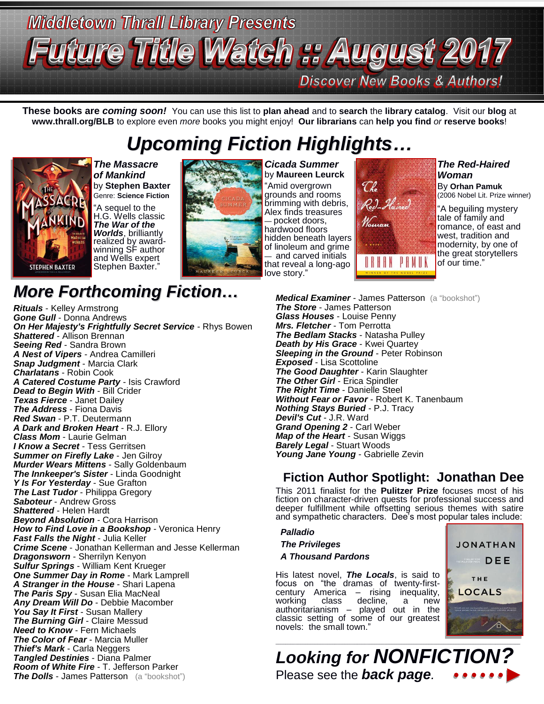# **Middletown Thrall Library Presents** re Title Watch :: August 2017 **Discover New Books & Authors!**

**These books are** *coming soon!* You can use this list to **plan ahead** and to **search** the **library catalog**. Visit our **blog** at **www.thrall.org/BLB** to explore even *more* books you might enjoy! **Our librarians** can **help you find** *or* **reserve books**!

## *Upcoming Fiction Highlights…*



*The Massacre of Mankind* by **Stephen Baxter** Genre: **Science Fiction** "A sequel to the H.G. Wells classic *The War of the Worlds*, brilliantly realized by awardwinning SF author and Wells expert Stephen Baxter."



*Cicada Summer* by **Maureen Leurck** "Amid overgrown grounds and rooms brimming with debris, Alex finds treasures — pocket doors, hardwood floors hidden beneath layers of linoleum and grime — and carved initials that reveal a long-ago love story."



*The Red-Haired Woman*

By **Orhan Pamuk** (2006 Nobel Lit. Prize winner)

"A beguiling mystery tale of family and romance, of east and west, tradition and modernity, by one of the great storytellers of our time."

#### *Medical Examiner* - James Patterson (a "bookshot") *The Store* - James Patterson *Glass Houses* - Louise Penny *Mrs. Fletcher* - Tom Perrotta *The Bedlam Stacks* - Natasha Pulley *Death by His Grace* - Kwei Quartey *Sleeping in the Ground* - Peter Robinson *Exposed* - Lisa Scottoline *The Good Daughter* - Karin Slaughter *The Other Girl* - Erica Spindler *The Right Time* - Danielle Steel *Without Fear or Favor* - Robert K. Tanenbaum *Nothing Stays Buried* - P.J. Tracy *Devil's Cut* - J.R. Ward *Grand Opening 2* - Carl Weber *Map of the Heart* - Susan Wiggs *Barely Legal* - Stuart Woods *Young Jane Young* - Gabrielle Zevin

#### **Fiction Author Spotlight: Jonathan Dee**

This 2011 finalist for the **Pulitzer Prize** focuses most of his fiction on character-driven quests for professional success and deeper fulfillment while offsetting serious themes with satire and sympathetic characters. Dee's most popular tales include:

#### *Palladio The Privileges A Thousand Pardons* His latest novel, *The Locals*, is said to focus on "the dramas of twenty-firstcentury America – rising inequality, working class decline, a new authoritarianism – played out in the classic setting of some of our greatest novels: the small town."



*Looking for NONFICTION?* Please see the *back page.*

## *More Forthcoming Fiction…*

*Rituals* - Kelley Armstrong *Gone Gull* - Donna Andrews *On Her Majesty's Frightfully Secret Service* - Rhys Bowen *Shattered* - Allison Brennan *Seeing Red* - Sandra Brown *A Nest of Vipers* - Andrea Camilleri *Snap Judgment* - Marcia Clark *Charlatans* - Robin Cook *A Catered Costume Party* - Isis Crawford *Dead to Begin With* - Bill Crider *Texas Fierce* - Janet Dailey *The Address* - Fiona Davis *Red Swan* - P.T. Deutermann *A Dark and Broken Heart* - R.J. Ellory *Class Mom* - Laurie Gelman *I Know a Secret* - Tess Gerritsen *Summer on Firefly Lake* - Jen Gilroy *Murder Wears Mittens* - Sally Goldenbaum *The Innkeeper's Sister* - Linda Goodnight *Y Is For Yesterday* - Sue Grafton *The Last Tudor* - Philippa Gregory *Saboteur* - Andrew Gross *Shattered* - Helen Hardt *Beyond Absolution* - Cora Harrison *How to Find Love in a Bookshop* - Veronica Henry *Fast Falls the Night* - Julia Keller *Crime Scene* - Jonathan Kellerman and Jesse Kellerman *Dragonsworn* - Sherrilyn Kenyon *Sulfur Springs* - William Kent Krueger *One Summer Day in Rome* - Mark Lamprell *A Stranger in the House* - Shari Lapena *The Paris Spy* - Susan Elia MacNeal *Any Dream Will Do* - Debbie Macomber *You Say It First* - Susan Mallery *The Burning Girl* - Claire Messud *Need to Know* - Fern Michaels *The Color of Fear* - Marcia Muller *Thief's Mark* - Carla Neggers *Tangled Destinies* - Diana Palmer *Room of White Fire* - T. Jefferson Parker **The Dolls** - James Patterson (a "bookshot")